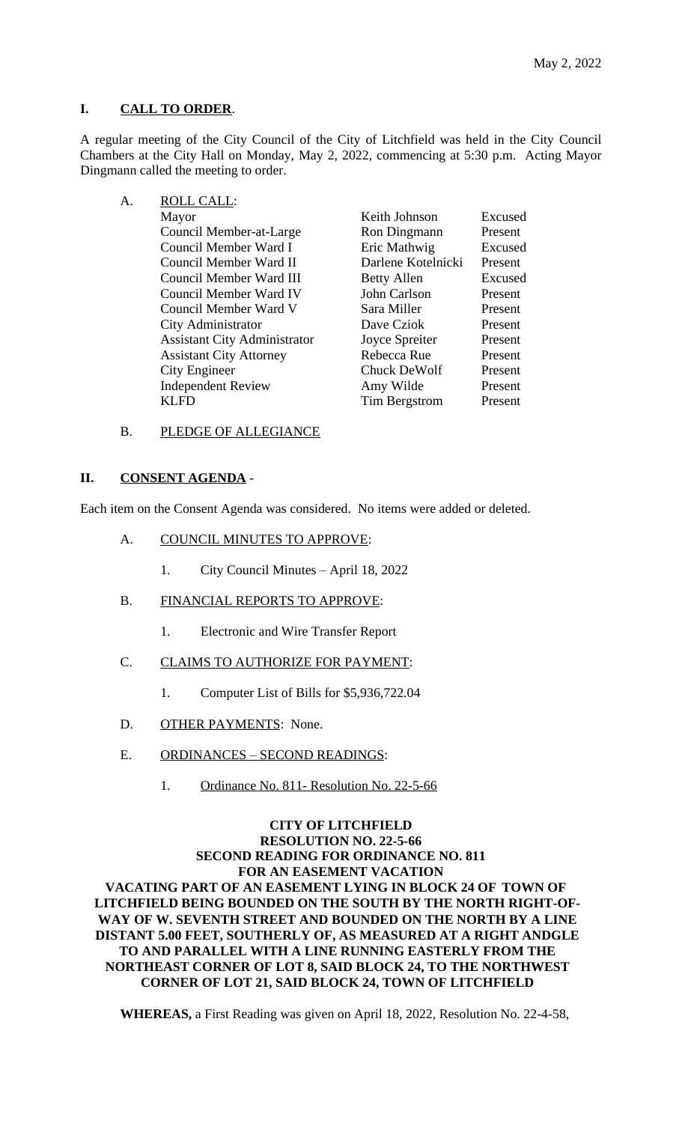## **I. CALL TO ORDER**.

A regular meeting of the City Council of the City of Litchfield was held in the City Council Chambers at the City Hall on Monday, May 2, 2022, commencing at 5:30 p.m. Acting Mayor Dingmann called the meeting to order.

A. ROLL CALL: Mayor **Keith Johnson** Excused City Administrator Dave Cziok Independent Review Amy Wilde

Council Member-at-Large Ron Dingmann Present Council Member Ward I Eric Mathwig Excused Council Member Ward II Darlene Kotelnicki Present Council Member Ward III Betty Allen Excused Council Member Ward IV John Carlson Present Council Member Ward V<br>
City Administrator<br>
City Administrator<br>
Dave Cziok<br>
Present Assistant City Administrator Joyce Spreiter Present Assistant City Attorney Rebecca Rue Present City Engineer<br>
Independent Review Amy Wilde Present KLFD Tim Bergstrom Present

B. PLEDGE OF ALLEGIANCE

## **II. CONSENT AGENDA** -

Each item on the Consent Agenda was considered. No items were added or deleted.

- A. COUNCIL MINUTES TO APPROVE:
	- 1. City Council Minutes April 18, 2022
- B. FINANCIAL REPORTS TO APPROVE:
	- 1. Electronic and Wire Transfer Report
- C. CLAIMS TO AUTHORIZE FOR PAYMENT:
	- 1. Computer List of Bills for \$5,936,722.04
- D. OTHER PAYMENTS: None.
- E. ORDINANCES SECOND READINGS:
	- 1. Ordinance No. 811- Resolution No. 22-5-66

## **CITY OF LITCHFIELD RESOLUTION NO. 22-5-66 SECOND READING FOR ORDINANCE NO. 811 FOR AN EASEMENT VACATION VACATING PART OF AN EASEMENT LYING IN BLOCK 24 OF TOWN OF LITCHFIELD BEING BOUNDED ON THE SOUTH BY THE NORTH RIGHT-OF-WAY OF W. SEVENTH STREET AND BOUNDED ON THE NORTH BY A LINE**

**DISTANT 5.00 FEET, SOUTHERLY OF, AS MEASURED AT A RIGHT ANDGLE TO AND PARALLEL WITH A LINE RUNNING EASTERLY FROM THE NORTHEAST CORNER OF LOT 8, SAID BLOCK 24, TO THE NORTHWEST CORNER OF LOT 21, SAID BLOCK 24, TOWN OF LITCHFIELD**

**WHEREAS,** a First Reading was given on April 18, 2022, Resolution No. 22-4-58,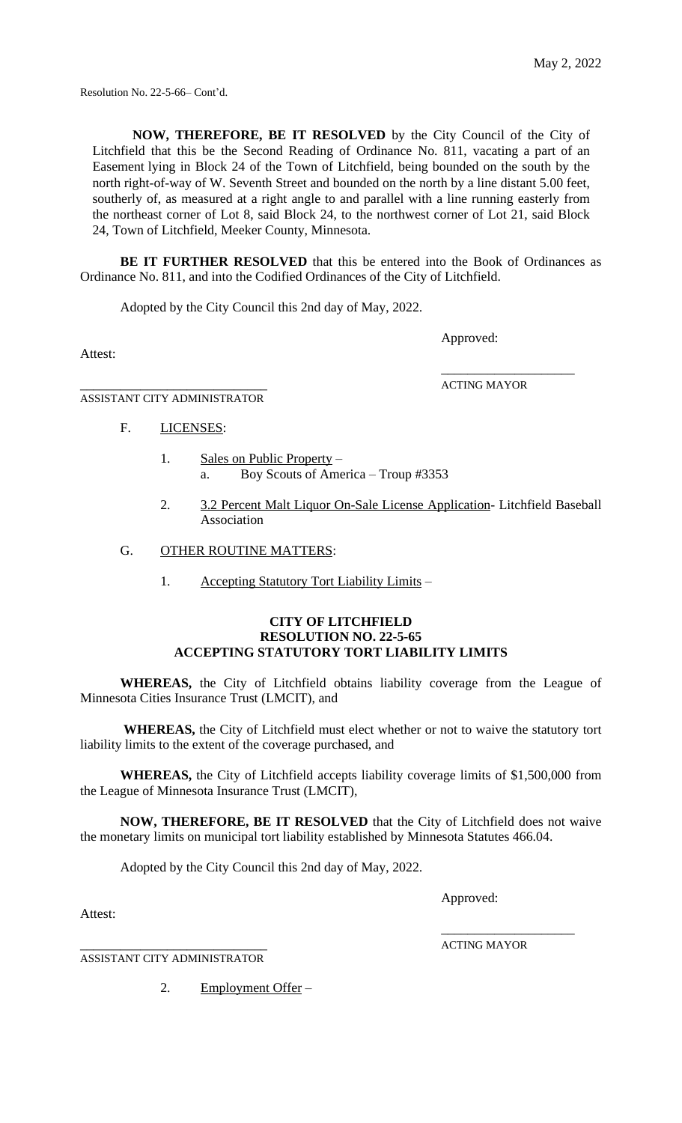Resolution No. 22-5-66– Cont'd.

**NOW, THEREFORE, BE IT RESOLVED** by the City Council of the City of Litchfield that this be the Second Reading of Ordinance No. 811, vacating a part of an Easement lying in Block 24 of the Town of Litchfield, being bounded on the south by the north right-of-way of W. Seventh Street and bounded on the north by a line distant 5.00 feet, southerly of, as measured at a right angle to and parallel with a line running easterly from the northeast corner of Lot 8, said Block 24, to the northwest corner of Lot 21, said Block 24, Town of Litchfield, Meeker County, Minnesota.

**BE IT FURTHER RESOLVED** that this be entered into the Book of Ordinances as Ordinance No. 811, and into the Codified Ordinances of the City of Litchfield.

Adopted by the City Council this 2nd day of May, 2022.

Approved:

Attest:

\_\_\_\_\_\_\_\_\_\_\_\_\_\_\_\_\_\_\_\_\_\_\_\_\_\_\_\_ ACTING MAYOR

\_\_\_\_\_\_\_\_\_\_\_\_\_\_\_\_\_\_\_\_

ASSISTANT CITY ADMINISTRATOR

- F. LICENSES:
	- 1. Sales on Public Property a. Boy Scouts of America – Troup #3353
	- 2. 3.2 Percent Malt Liquor On-Sale License Application- Litchfield Baseball Association
- G. OTHER ROUTINE MATTERS:
	- 1. Accepting Statutory Tort Liability Limits –

### **CITY OF LITCHFIELD RESOLUTION NO. 22-5-65 ACCEPTING STATUTORY TORT LIABILITY LIMITS**

**WHEREAS,** the City of Litchfield obtains liability coverage from the League of Minnesota Cities Insurance Trust (LMCIT), and

**WHEREAS,** the City of Litchfield must elect whether or not to waive the statutory tort liability limits to the extent of the coverage purchased, and

**WHEREAS,** the City of Litchfield accepts liability coverage limits of \$1,500,000 from the League of Minnesota Insurance Trust (LMCIT),

**NOW, THEREFORE, BE IT RESOLVED** that the City of Litchfield does not waive the monetary limits on municipal tort liability established by Minnesota Statutes 466.04.

Adopted by the City Council this 2nd day of May, 2022.

Approved:

Attest:

\_\_\_\_\_\_\_\_\_\_\_\_\_\_\_\_\_\_\_\_\_\_\_\_\_\_\_\_ ACTING MAYOR

\_\_\_\_\_\_\_\_\_\_\_\_\_\_\_\_\_\_\_\_

ASSISTANT CITY ADMINISTRATOR

2. Employment Offer –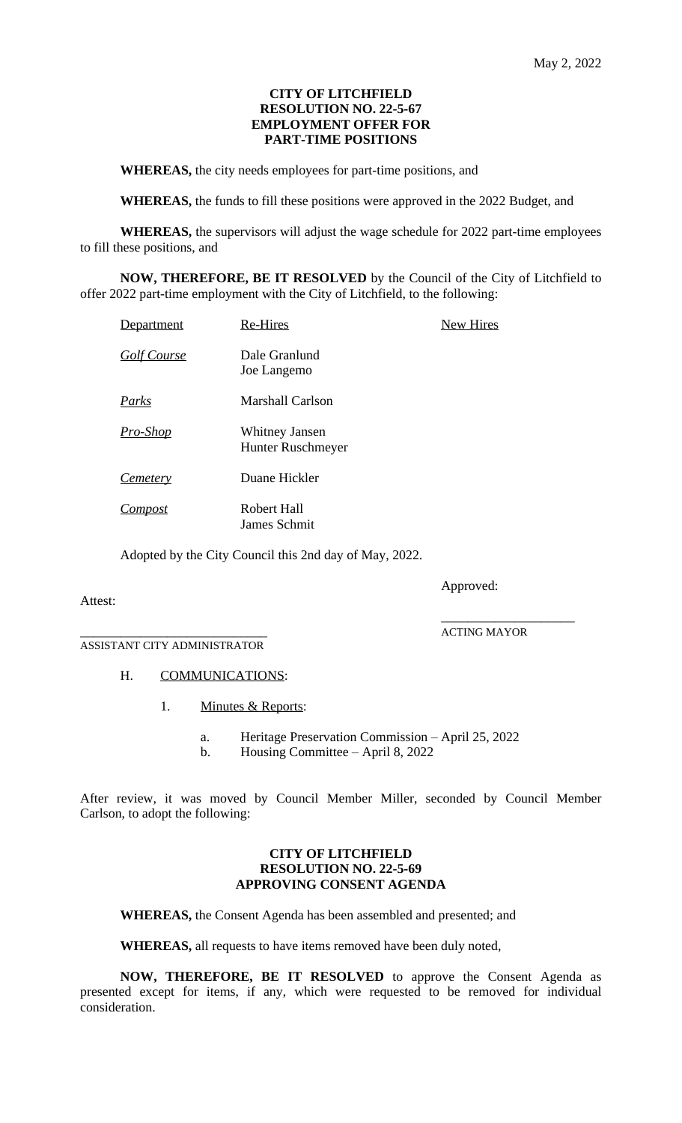### **CITY OF LITCHFIELD RESOLUTION NO. 22-5-67 EMPLOYMENT OFFER FOR PART-TIME POSITIONS**

**WHEREAS,** the city needs employees for part-time positions, and

**WHEREAS,** the funds to fill these positions were approved in the 2022 Budget, and

**WHEREAS,** the supervisors will adjust the wage schedule for 2022 part-time employees to fill these positions, and

**NOW, THEREFORE, BE IT RESOLVED** by the Council of the City of Litchfield to offer 2022 part-time employment with the City of Litchfield, to the following:

| Department         | <b>Re-Hires</b>                     | <b>New Hires</b> |
|--------------------|-------------------------------------|------------------|
| <u>Golf Course</u> | Dale Granlund<br>Joe Langemo        |                  |
| Parks              | <b>Marshall Carlson</b>             |                  |
| <u> Pro-Shop</u>   | Whitney Jansen<br>Hunter Ruschmeyer |                  |
| <u>Cemetery</u>    | Duane Hickler                       |                  |
| Compost            | Robert Hall<br>James Schmit         |                  |

Adopted by the City Council this 2nd day of May, 2022.

Approved:

### Attest:

\_\_\_\_\_\_\_\_\_\_\_\_\_\_\_\_\_\_\_\_\_\_\_\_\_\_\_\_ ACTING MAYOR

\_\_\_\_\_\_\_\_\_\_\_\_\_\_\_\_\_\_\_\_

ASSISTANT CITY ADMINISTRATOR

# H. **COMMUNICATIONS:**

- 1. Minutes & Reports:
	- a. Heritage Preservation Commission April 25, 2022
	- b. Housing Committee April 8, 2022

After review, it was moved by Council Member Miller, seconded by Council Member Carlson, to adopt the following:

### **CITY OF LITCHFIELD RESOLUTION NO. 22-5-69 APPROVING CONSENT AGENDA**

**WHEREAS,** the Consent Agenda has been assembled and presented; and

**WHEREAS,** all requests to have items removed have been duly noted,

**NOW, THEREFORE, BE IT RESOLVED** to approve the Consent Agenda as presented except for items, if any, which were requested to be removed for individual consideration.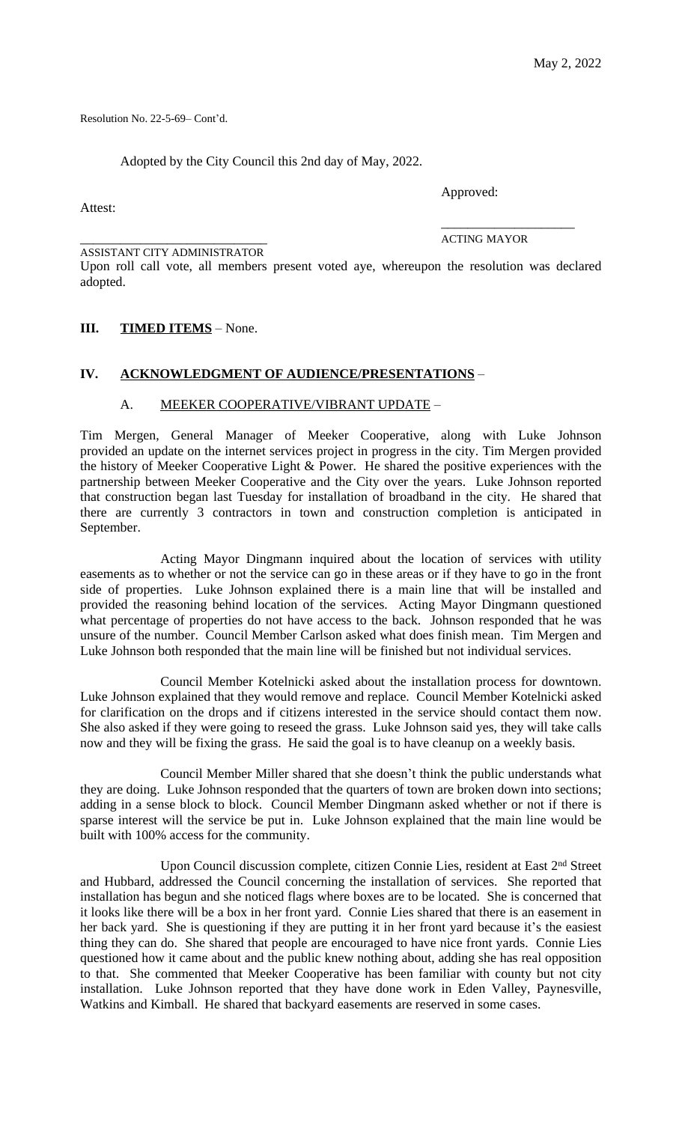Resolution No. 22-5-69– Cont'd.

Adopted by the City Council this 2nd day of May, 2022.

Attest:

Approved:

ASSISTANT CITY ADMINISTRATOR

\_\_\_\_\_\_\_\_\_\_\_\_\_\_\_\_\_\_\_\_\_\_\_\_\_\_\_\_ ACTING MAYOR

\_\_\_\_\_\_\_\_\_\_\_\_\_\_\_\_\_\_\_\_

Upon roll call vote, all members present voted aye, whereupon the resolution was declared adopted.

### **III. TIMED ITEMS** – None.

## **IV. ACKNOWLEDGMENT OF AUDIENCE/PRESENTATIONS** –

### A. MEEKER COOPERATIVE/VIBRANT UPDATE –

Tim Mergen, General Manager of Meeker Cooperative, along with Luke Johnson provided an update on the internet services project in progress in the city. Tim Mergen provided the history of Meeker Cooperative Light & Power. He shared the positive experiences with the partnership between Meeker Cooperative and the City over the years. Luke Johnson reported that construction began last Tuesday for installation of broadband in the city. He shared that there are currently 3 contractors in town and construction completion is anticipated in September.

Acting Mayor Dingmann inquired about the location of services with utility easements as to whether or not the service can go in these areas or if they have to go in the front side of properties. Luke Johnson explained there is a main line that will be installed and provided the reasoning behind location of the services. Acting Mayor Dingmann questioned what percentage of properties do not have access to the back. Johnson responded that he was unsure of the number. Council Member Carlson asked what does finish mean. Tim Mergen and Luke Johnson both responded that the main line will be finished but not individual services.

Council Member Kotelnicki asked about the installation process for downtown. Luke Johnson explained that they would remove and replace. Council Member Kotelnicki asked for clarification on the drops and if citizens interested in the service should contact them now. She also asked if they were going to reseed the grass. Luke Johnson said yes, they will take calls now and they will be fixing the grass. He said the goal is to have cleanup on a weekly basis.

Council Member Miller shared that she doesn't think the public understands what they are doing. Luke Johnson responded that the quarters of town are broken down into sections; adding in a sense block to block. Council Member Dingmann asked whether or not if there is sparse interest will the service be put in. Luke Johnson explained that the main line would be built with 100% access for the community.

Upon Council discussion complete, citizen Connie Lies, resident at East 2<sup>nd</sup> Street and Hubbard, addressed the Council concerning the installation of services. She reported that installation has begun and she noticed flags where boxes are to be located. She is concerned that it looks like there will be a box in her front yard. Connie Lies shared that there is an easement in her back yard. She is questioning if they are putting it in her front yard because it's the easiest thing they can do. She shared that people are encouraged to have nice front yards. Connie Lies questioned how it came about and the public knew nothing about, adding she has real opposition to that. She commented that Meeker Cooperative has been familiar with county but not city installation. Luke Johnson reported that they have done work in Eden Valley, Paynesville, Watkins and Kimball. He shared that backyard easements are reserved in some cases.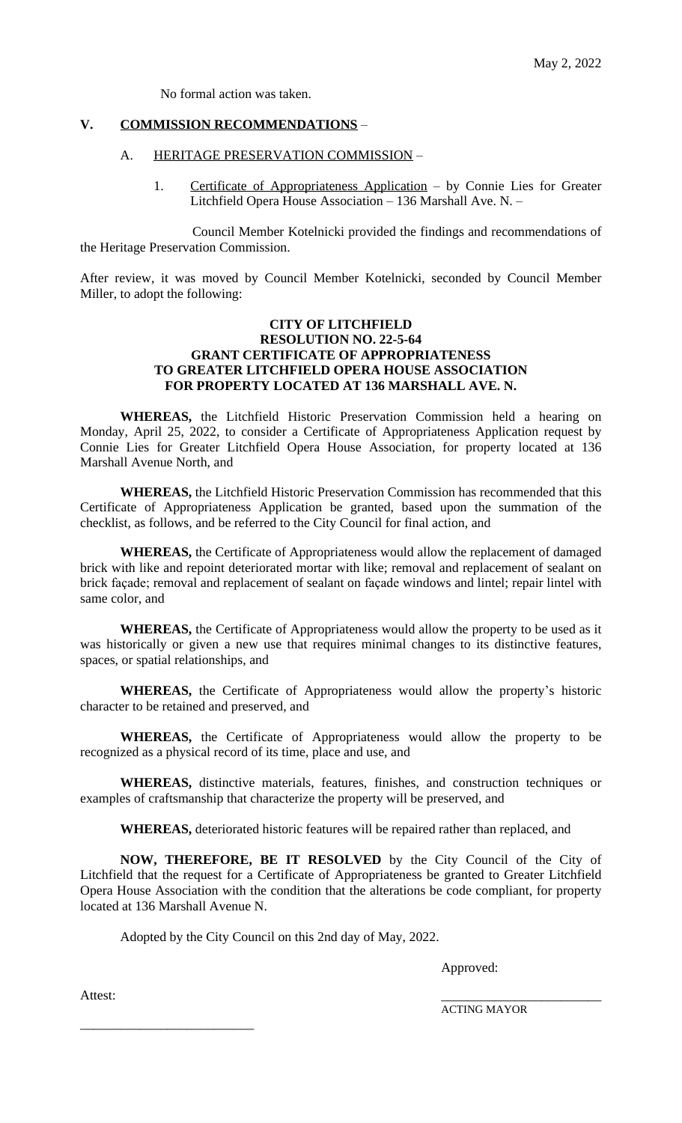No formal action was taken.

### **V. COMMISSION RECOMMENDATIONS** –

#### A. HERITAGE PRESERVATION COMMISSION -

1. Certificate of Appropriateness Application – by Connie Lies for Greater Litchfield Opera House Association – 136 Marshall Ave. N. –

Council Member Kotelnicki provided the findings and recommendations of the Heritage Preservation Commission.

After review, it was moved by Council Member Kotelnicki, seconded by Council Member Miller, to adopt the following:

## **CITY OF LITCHFIELD RESOLUTION NO. 22-5-64 GRANT CERTIFICATE OF APPROPRIATENESS TO GREATER LITCHFIELD OPERA HOUSE ASSOCIATION FOR PROPERTY LOCATED AT 136 MARSHALL AVE. N.**

**WHEREAS,** the Litchfield Historic Preservation Commission held a hearing on Monday, April 25, 2022, to consider a Certificate of Appropriateness Application request by Connie Lies for Greater Litchfield Opera House Association, for property located at 136 Marshall Avenue North, and

**WHEREAS,** the Litchfield Historic Preservation Commission has recommended that this Certificate of Appropriateness Application be granted, based upon the summation of the checklist, as follows, and be referred to the City Council for final action, and

**WHEREAS,** the Certificate of Appropriateness would allow the replacement of damaged brick with like and repoint deteriorated mortar with like; removal and replacement of sealant on brick façade; removal and replacement of sealant on façade windows and lintel; repair lintel with same color, and

**WHEREAS,** the Certificate of Appropriateness would allow the property to be used as it was historically or given a new use that requires minimal changes to its distinctive features, spaces, or spatial relationships, and

**WHEREAS,** the Certificate of Appropriateness would allow the property's historic character to be retained and preserved, and

**WHEREAS,** the Certificate of Appropriateness would allow the property to be recognized as a physical record of its time, place and use, and

**WHEREAS,** distinctive materials, features, finishes, and construction techniques or examples of craftsmanship that characterize the property will be preserved, and

**WHEREAS,** deteriorated historic features will be repaired rather than replaced, and

**NOW, THEREFORE, BE IT RESOLVED** by the City Council of the City of Litchfield that the request for a Certificate of Appropriateness be granted to Greater Litchfield Opera House Association with the condition that the alterations be code compliant, for property located at 136 Marshall Avenue N.

Adopted by the City Council on this 2nd day of May, 2022.

Approved:

Attest:

\_\_\_\_\_\_\_\_\_\_\_\_\_\_\_\_\_\_\_\_\_\_\_\_\_\_

ACTING MAYOR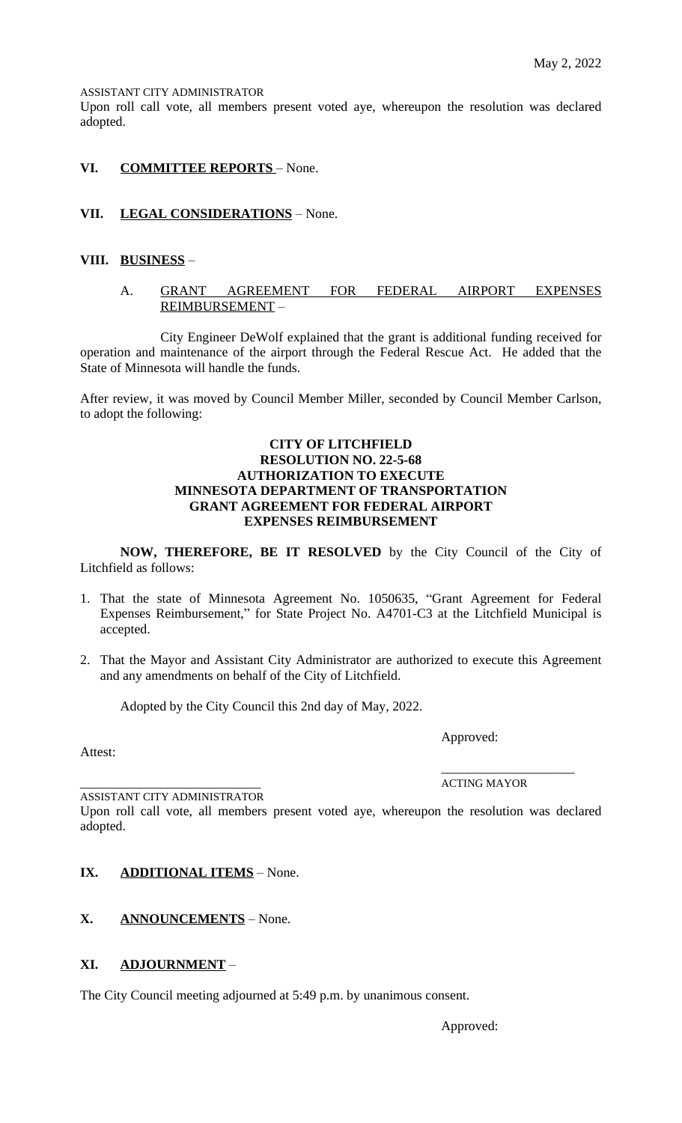ASSISTANT CITY ADMINISTRATOR

Upon roll call vote, all members present voted aye, whereupon the resolution was declared adopted.

## **VI. COMMITTEE REPORTS** – None.

## **VII. LEGAL CONSIDERATIONS** – None.

## **VIII. BUSINESS** –

## A. GRANT AGREEMENT FOR FEDERAL AIRPORT EXPENSES REIMBURSEMENT –

City Engineer DeWolf explained that the grant is additional funding received for operation and maintenance of the airport through the Federal Rescue Act. He added that the State of Minnesota will handle the funds.

After review, it was moved by Council Member Miller, seconded by Council Member Carlson, to adopt the following:

### **CITY OF LITCHFIELD RESOLUTION NO. 22-5-68 AUTHORIZATION TO EXECUTE MINNESOTA DEPARTMENT OF TRANSPORTATION GRANT AGREEMENT FOR FEDERAL AIRPORT EXPENSES REIMBURSEMENT**

**NOW, THEREFORE, BE IT RESOLVED** by the City Council of the City of Litchfield as follows:

- 1. That the state of Minnesota Agreement No. 1050635, "Grant Agreement for Federal Expenses Reimbursement," for State Project No. A4701-C3 at the Litchfield Municipal is accepted.
- 2. That the Mayor and Assistant City Administrator are authorized to execute this Agreement and any amendments on behalf of the City of Litchfield.

Adopted by the City Council this 2nd day of May, 2022.

Approved:

Attest:

\_\_\_\_\_\_\_\_\_\_\_\_\_\_\_\_\_\_\_\_\_\_\_\_\_\_\_ ACTING MAYOR

\_\_\_\_\_\_\_\_\_\_\_\_\_\_\_\_\_\_\_\_

ASSISTANT CITY ADMINISTRATOR

Upon roll call vote, all members present voted aye, whereupon the resolution was declared adopted.

## **IX. ADDITIONAL ITEMS** – None.

**X. ANNOUNCEMENTS** – None.

## **XI. ADJOURNMENT** –

The City Council meeting adjourned at 5:49 p.m. by unanimous consent.

Approved: